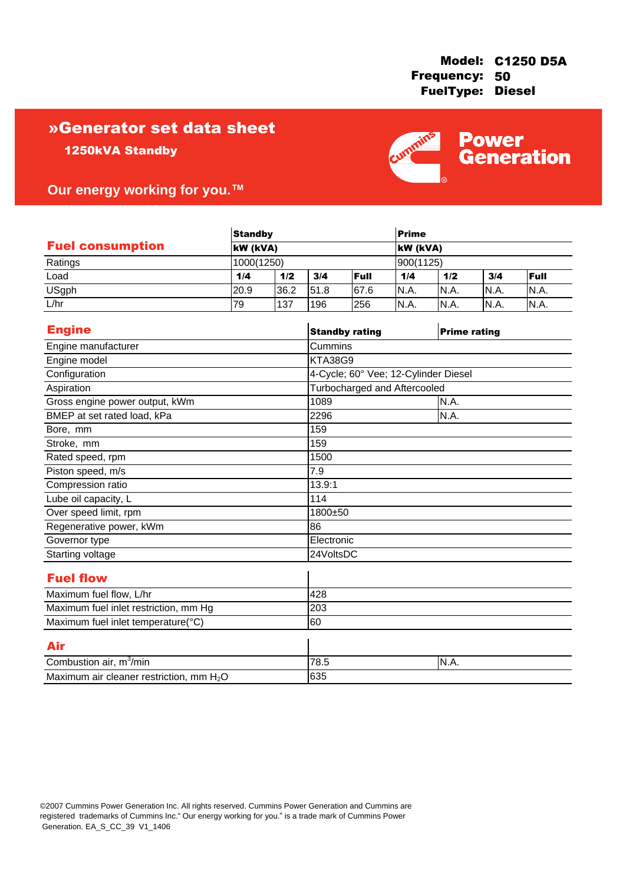## Model: C1250 D5A Frequency: 50 FuelType: Diesel

## »Generator set data sheet 1250kVA Standby



# **Power<br>Generation**

## **Our energy working for you.™**

|                         | <b>Standby</b> |            |      |             | <b>Prime</b> |       |      |             |
|-------------------------|----------------|------------|------|-------------|--------------|-------|------|-------------|
| <b>Fuel consumption</b> |                | kW (kVA)   |      | kW (kVA)    |              |       |      |             |
| Ratings                 |                | 1000(1250) |      |             | 900(1125)    |       |      |             |
| Load                    | 1/4            | 1/2        | 3/4  | <b>Full</b> | 1/4          | 1/2   | 3/4  | <b>Full</b> |
| USgph                   | 20.9           | 36.2       | 51.8 | 67.6        | IN.A.        | IN.A. | N.A. | IN.A.       |
| L/hr                    | 79             | 137        | 196  | 256         | IN.A.        | IN.A. | N.A. | IN.A.       |

| <b>Engine</b>                              | <b>Standby rating</b>                | <b>Prime rating</b> |  |  |
|--------------------------------------------|--------------------------------------|---------------------|--|--|
| Engine manufacturer                        | Cummins                              |                     |  |  |
| Engine model                               | <b>KTA38G9</b>                       |                     |  |  |
| Configuration                              | 4-Cycle; 60° Vee; 12-Cylinder Diesel |                     |  |  |
| Aspiration                                 | Turbocharged and Aftercooled         |                     |  |  |
| Gross engine power output, kWm             | 1089                                 | N.A.                |  |  |
| BMEP at set rated load, kPa                | 2296                                 | N.A.                |  |  |
| Bore, mm                                   | 159                                  |                     |  |  |
| Stroke, mm                                 | 159                                  |                     |  |  |
| Rated speed, rpm                           | 1500                                 |                     |  |  |
| Piston speed, m/s                          | 7.9                                  |                     |  |  |
| Compression ratio                          | 13.9:1                               |                     |  |  |
| Lube oil capacity, L                       | 114                                  |                     |  |  |
| Over speed limit, rpm                      | 1800±50                              |                     |  |  |
| Regenerative power, kWm                    | 86                                   |                     |  |  |
| Governor type                              | Electronic                           |                     |  |  |
| Starting voltage                           | 24VoltsDC                            |                     |  |  |
| <b>Fuel flow</b>                           |                                      |                     |  |  |
| Maximum fuel flow, L/hr                    | 428                                  |                     |  |  |
| Maximum fuel inlet restriction, mm Hg      | 203                                  |                     |  |  |
| Maximum fuel inlet temperature(°C)         | 60                                   |                     |  |  |
| Air                                        |                                      |                     |  |  |
| Combustion air, m <sup>3</sup> /min        | 78.5                                 | N.A.                |  |  |
| Maximum air cleaner restriction, mm $H_2O$ | 635                                  |                     |  |  |

©2007 Cummins Power Generation Inc. All rights reserved. Cummins Power Generation and Cummins are registered trademarks of Cummins Inc." Our energy working for you." is a trade mark of Cummins Power Generation. EA\_S\_CC\_39 V1\_1406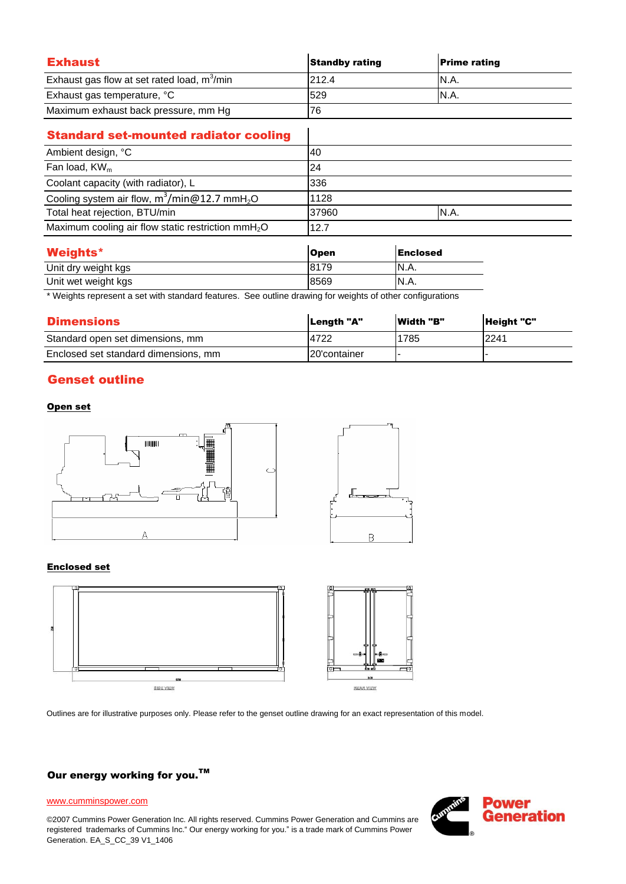| <b>Exhaust</b>                                 | <b>Standby rating</b> | <b>Prime rating</b> |
|------------------------------------------------|-----------------------|---------------------|
| Exhaust gas flow at set rated load, $m^3/m$ in | 212.4                 | IN.A.               |
| Exhaust gas temperature, °C                    | 529                   | IN.A.               |
| Maximum exhaust back pressure, mm Hg           | 76                    |                     |

| <b>Standard set-mounted radiator cooling</b>                |               |                 |  |
|-------------------------------------------------------------|---------------|-----------------|--|
| Ambient design, °C                                          | l40           |                 |  |
| Fan load, $KW_m$                                            | 24            |                 |  |
| Coolant capacity (with radiator), L                         | 336           |                 |  |
| Cooling system air flow, $m^3/m$ in@12.7 mmH <sub>2</sub> O | 1128          |                 |  |
| Total heat rejection, BTU/min                               | N.A.<br>37960 |                 |  |
| Maximum cooling air flow static restriction $m m H_2$ O     | 12.7          |                 |  |
| <b>Weights*</b>                                             | <b>Open</b>   | <b>Enclosed</b> |  |
| Unit dry weight kgs                                         | 8179          | N.A.            |  |
| Unit wet weight kgs                                         | 8569          | N.A.            |  |

\* Weights represent a set with standard features. See outline drawing for weights of other configurations

| <b>Dimensions</b>                    | Length "A"   | <b>Width "B"</b> | Height "C" |
|--------------------------------------|--------------|------------------|------------|
| Standard open set dimensions, mm     | 4722         | 1785             | 2241       |
| Enclosed set standard dimensions, mm | 20'container |                  |            |

## Genset outline

## Open set



### Enclosed set



Outlines are for illustrative purposes only. Please refer to the genset outline drawing for an exact representation of this model.

## Our energy working for you.<sup>™</sup>

#### [www.cumminspower.com](http://www.cumminspower.com/)

©2007 Cummins Power Generation Inc. All rights reserved. Cummins Power Generation and Cummins are registered trademarks of Cummins Inc." Our energy working for you." is a trade mark of Cummins Power Generation. EA\_S\_CC\_39 V1\_1406